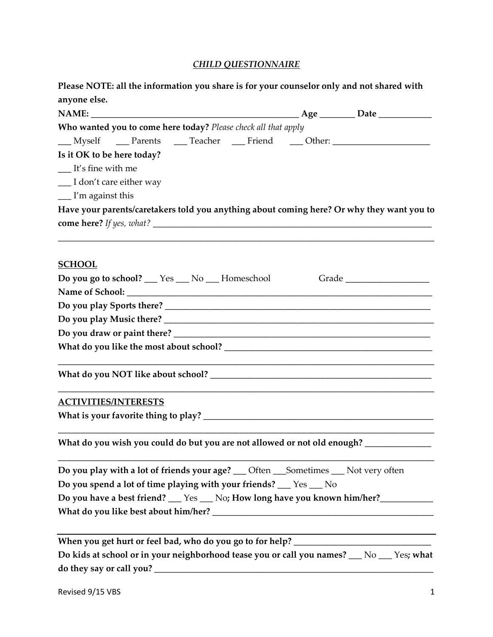## *CHILD QUESTIONNAIRE*

| Please NOTE: all the information you share is for your counselor only and not shared with |  |
|-------------------------------------------------------------------------------------------|--|
| anyone else.                                                                              |  |

|                                 |                                                                    |  | Age __________ Date ______________                                                        |
|---------------------------------|--------------------------------------------------------------------|--|-------------------------------------------------------------------------------------------|
|                                 | Who wanted you to come here today? Please check all that apply     |  |                                                                                           |
|                                 |                                                                    |  | __Myself ___Parents ___Teacher ___Friend ___Other: _____________________________          |
| Is it OK to be here today?      |                                                                    |  |                                                                                           |
| $\frac{1}{1}$ It's fine with me |                                                                    |  |                                                                                           |
| __ I don't care either way      |                                                                    |  |                                                                                           |
| $\frac{1}{2}$ I'm against this  |                                                                    |  |                                                                                           |
|                                 |                                                                    |  | Have your parents/caretakers told you anything about coming here? Or why they want you to |
|                                 |                                                                    |  |                                                                                           |
| <b>SCHOOL</b>                   |                                                                    |  |                                                                                           |
|                                 | <b>Do you go to school?</b> ___ Yes ___ No ___ Homeschool          |  |                                                                                           |
|                                 |                                                                    |  |                                                                                           |
|                                 |                                                                    |  |                                                                                           |
|                                 |                                                                    |  |                                                                                           |
|                                 |                                                                    |  |                                                                                           |
|                                 |                                                                    |  |                                                                                           |
|                                 |                                                                    |  |                                                                                           |
| <b>ACTIVITIES/INTERESTS</b>     |                                                                    |  |                                                                                           |
|                                 |                                                                    |  |                                                                                           |
|                                 |                                                                    |  | What do you wish you could do but you are not allowed or not old enough? ____________     |
|                                 |                                                                    |  | Do you play with a lot of friends your age? __ Often __ Sometimes __ Not very often       |
|                                 | Do you spend a lot of time playing with your friends? __ Yes __ No |  |                                                                                           |
|                                 |                                                                    |  | Do you have a best friend? __ Yes __ No; How long have you known him/her? _______         |
|                                 |                                                                    |  |                                                                                           |
|                                 |                                                                    |  |                                                                                           |
|                                 |                                                                    |  | Do kids at school or in your neighborhood tease you or call you names? __ No __ Yes; what |
|                                 |                                                                    |  |                                                                                           |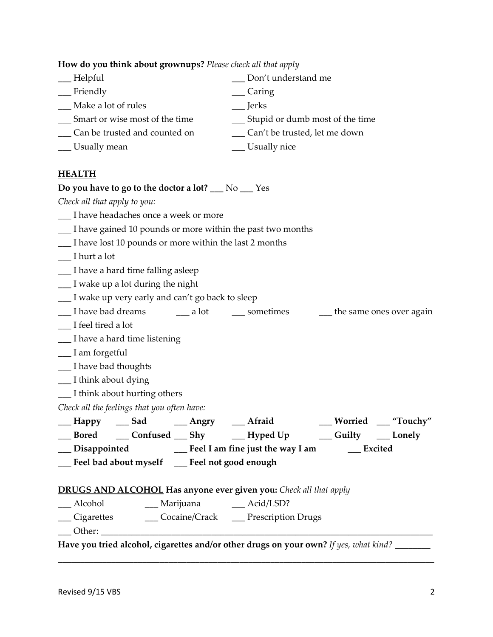**How do you think about grownups?** *Please check all that apply*

| Helpful                        | Don't understand me             |
|--------------------------------|---------------------------------|
| Friendly                       | Caring                          |
| Make a lot of rules            | <b>Jerks</b>                    |
| Smart or wise most of the time | Stupid or dumb most of the time |
| Can be trusted and counted on  | Can't be trusted, let me down   |
| Usually mean                   | __ Usually nice                 |
|                                |                                 |

## **HEALTH**

| Do you have to go to the doctor a lot? $\rule{1em}{0.15mm}$ No $\rule{1.15mm}{0.15mm}$ Yes   |  |
|----------------------------------------------------------------------------------------------|--|
| Check all that apply to you:                                                                 |  |
| __ I have headaches once a week or more                                                      |  |
| I have gained 10 pounds or more within the past two months                                   |  |
| __ I have lost 10 pounds or more within the last 2 months                                    |  |
| __ I hurt a lot                                                                              |  |
| __ I have a hard time falling asleep                                                         |  |
| __I wake up a lot during the night                                                           |  |
| __ I wake up very early and can't go back to sleep                                           |  |
| __ I have bad dreams _______ a lot _______ sometimes ________ the same ones over again       |  |
| __ I feel tired a lot                                                                        |  |
| __ I have a hard time listening                                                              |  |
| __ I am forgetful                                                                            |  |
| __ I have bad thoughts                                                                       |  |
| __ I think about dying                                                                       |  |
| __ I think about hurting others                                                              |  |
| Check all the feelings that you often have:                                                  |  |
| __ Happy ___ Sad _____ Angry ____ Afraid _____ Worried ____ "Touchy"                         |  |
| __Bored ___Confused ___Shy ____Hyped Up ____Guilty ___Lonely                                 |  |
| __ Disappointed _________ Feel I am fine just the way I am ________ Excited                  |  |
| __Feel bad about myself __Feel not good enough                                               |  |
|                                                                                              |  |
| <b>DRUGS AND ALCOHOL Has anyone ever given you:</b> Check all that apply                     |  |
| __ Alcohol _______ Marijuana ______ Acid/LSD?                                                |  |
| Cigarettes Cocaine/Crack Prescription Drugs                                                  |  |
| Other:                                                                                       |  |
| Have you tried alcohol, cigarettes and/or other drugs on your own? If yes, what kind? ______ |  |
|                                                                                              |  |